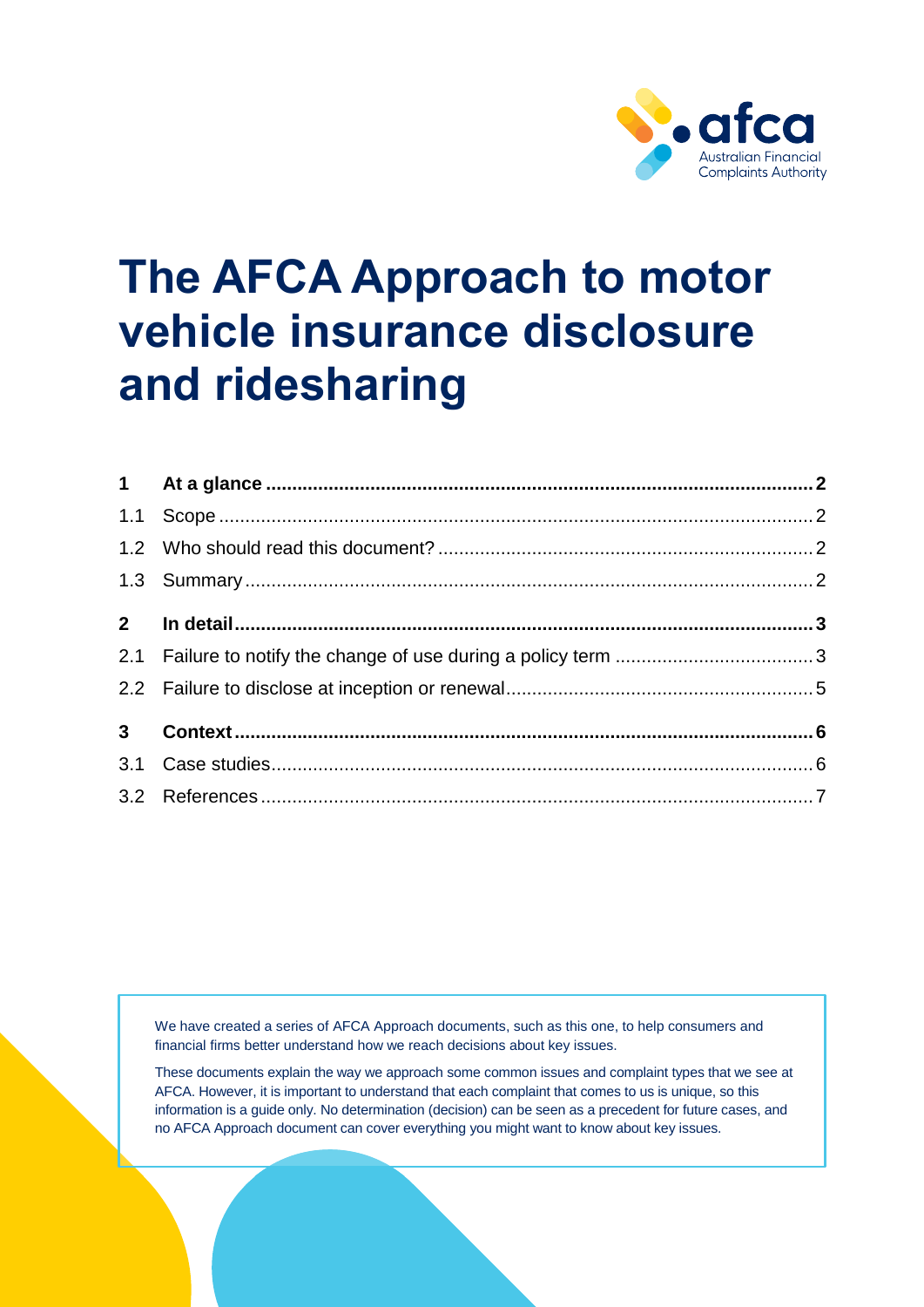

# **The AFCA Approach to motor vehicle insurance disclosure and ridesharing**

We have created a series of AFCA Approach documents, such as this one, to help consumers and financial firms better understand how we reach decisions about key issues.

These documents explain the way we approach some common issues and complaint types that we see at AFCA. However, it is important to understand that each complaint that comes to us is unique, so this information is a guide only. No determination (decision) can be seen as a precedent for future cases, and no AFCA Approach document can cover everything you might want to know about key issues.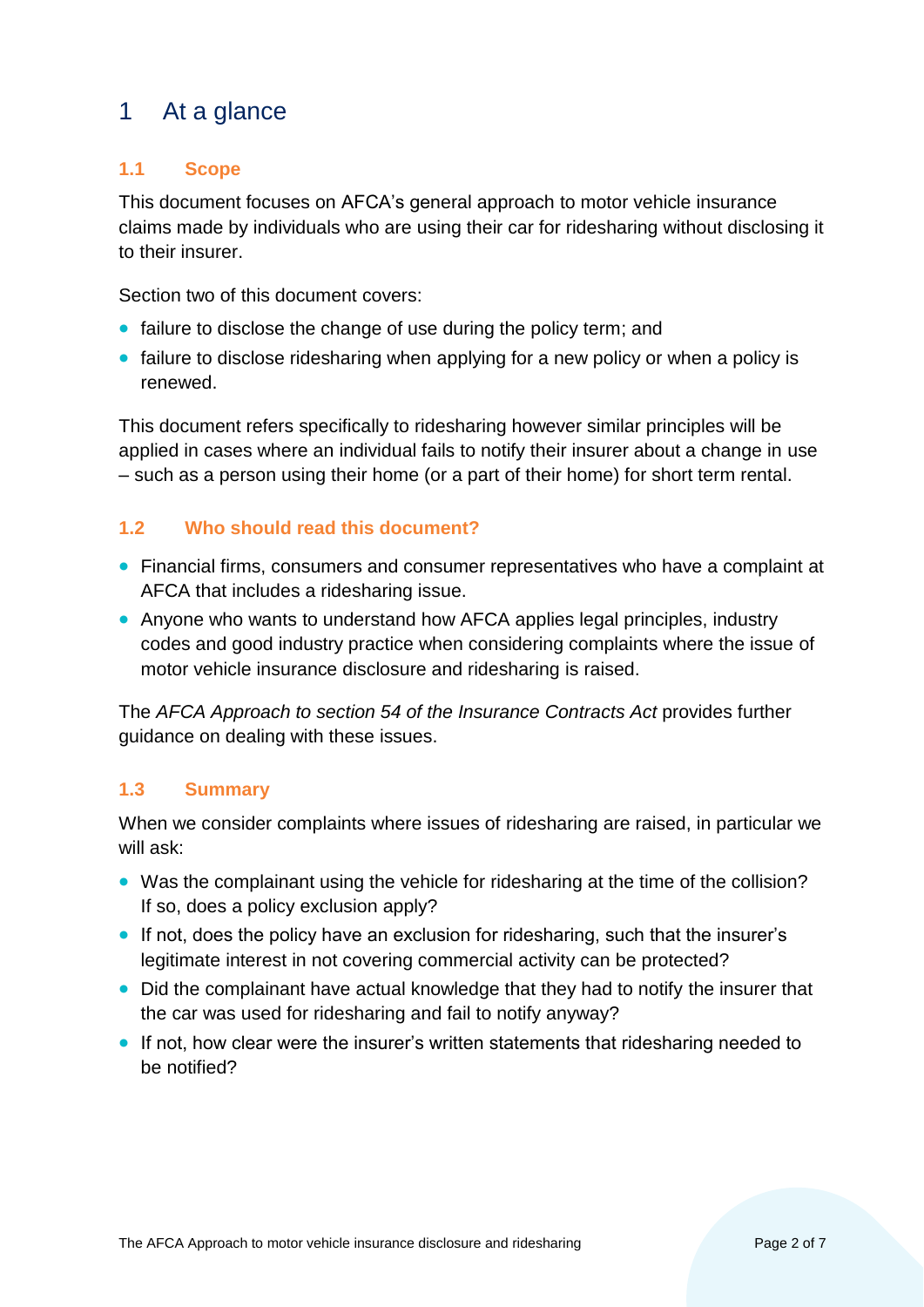# <span id="page-1-0"></span>1 At a glance

# <span id="page-1-1"></span>**1.1 Scope**

This document focuses on AFCA's general approach to motor vehicle insurance claims made by individuals who are using their car for ridesharing without disclosing it to their insurer.

Section two of this document covers:

- failure to disclose the change of use during the policy term; and
- failure to disclose ridesharing when applying for a new policy or when a policy is renewed.

This document refers specifically to ridesharing however similar principles will be applied in cases where an individual fails to notify their insurer about a change in use – such as a person using their home (or a part of their home) for short term rental.

# <span id="page-1-2"></span>**1.2 Who should read this document?**

- Financial firms, consumers and consumer representatives who have a complaint at AFCA that includes a ridesharing issue.
- Anyone who wants to understand how AFCA applies legal principles, industry codes and good industry practice when considering complaints where the issue of motor vehicle insurance disclosure and ridesharing is raised.

The *AFCA Approach to section 54 of the Insurance Contracts Act* provides further guidance on dealing with these issues.

#### <span id="page-1-3"></span>**1.3 Summary**

When we consider complaints where issues of ridesharing are raised, in particular we will ask:

- Was the complainant using the vehicle for ridesharing at the time of the collision? If so, does a policy exclusion apply?
- If not, does the policy have an exclusion for ridesharing, such that the insurer's legitimate interest in not covering commercial activity can be protected?
- Did the complainant have actual knowledge that they had to notify the insurer that the car was used for ridesharing and fail to notify anyway?
- If not, how clear were the insurer's written statements that ridesharing needed to be notified?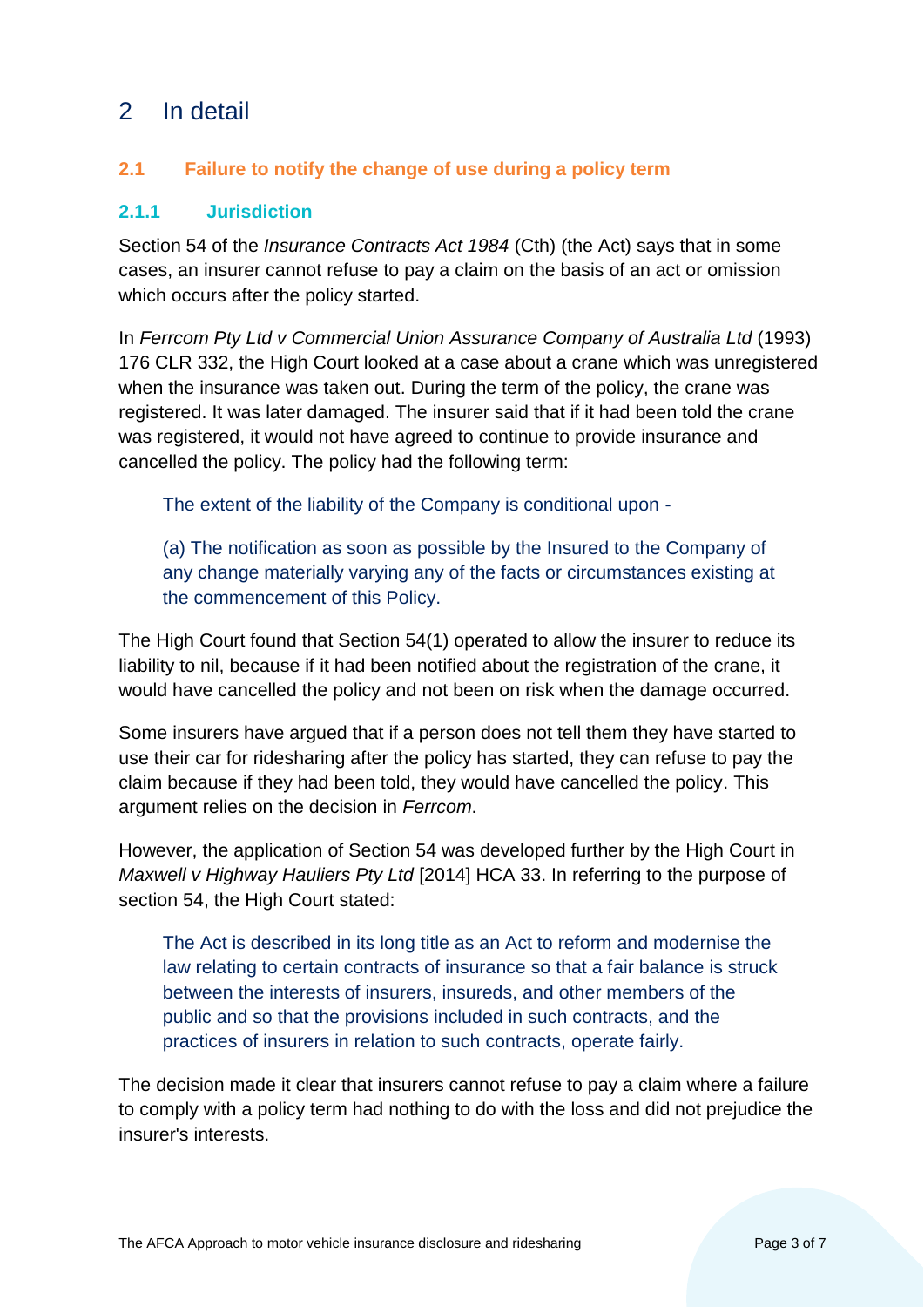# <span id="page-2-0"></span>2 In detail

# <span id="page-2-1"></span>**2.1 Failure to notify the change of use during a policy term**

#### **2.1.1 Jurisdiction**

Section 54 of the *Insurance Contracts Act 1984* (Cth) (the Act) says that in some cases, an insurer cannot refuse to pay a claim on the basis of an act or omission which occurs after the policy started.

In *Ferrcom Pty Ltd v Commercial Union Assurance Company of Australia Ltd* (1993) 176 CLR 332, the High Court looked at a case about a crane which was unregistered when the insurance was taken out. During the term of the policy, the crane was registered. It was later damaged. The insurer said that if it had been told the crane was registered, it would not have agreed to continue to provide insurance and cancelled the policy. The policy had the following term:

The extent of the liability of the Company is conditional upon -

(a) The notification as soon as possible by the Insured to the Company of any change materially varying any of the facts or circumstances existing at the commencement of this Policy.

The High Court found that Section 54(1) operated to allow the insurer to reduce its liability to nil, because if it had been notified about the registration of the crane, it would have cancelled the policy and not been on risk when the damage occurred.

Some insurers have argued that if a person does not tell them they have started to use their car for ridesharing after the policy has started, they can refuse to pay the claim because if they had been told, they would have cancelled the policy. This argument relies on the decision in *Ferrcom*.

However, the application of Section 54 was developed further by the High Court in *Maxwell v Highway Hauliers Pty Ltd* [2014] HCA 33. In referring to the purpose of section 54, the High Court stated:

The Act is described in its long title as an Act to reform and modernise the law relating to certain contracts of insurance so that a fair balance is struck between the interests of insurers, insureds, and other members of the public and so that the provisions included in such contracts, and the practices of insurers in relation to such contracts, operate fairly.

The decision made it clear that insurers cannot refuse to pay a claim where a failure to comply with a policy term had nothing to do with the loss and did not prejudice the insurer's interests.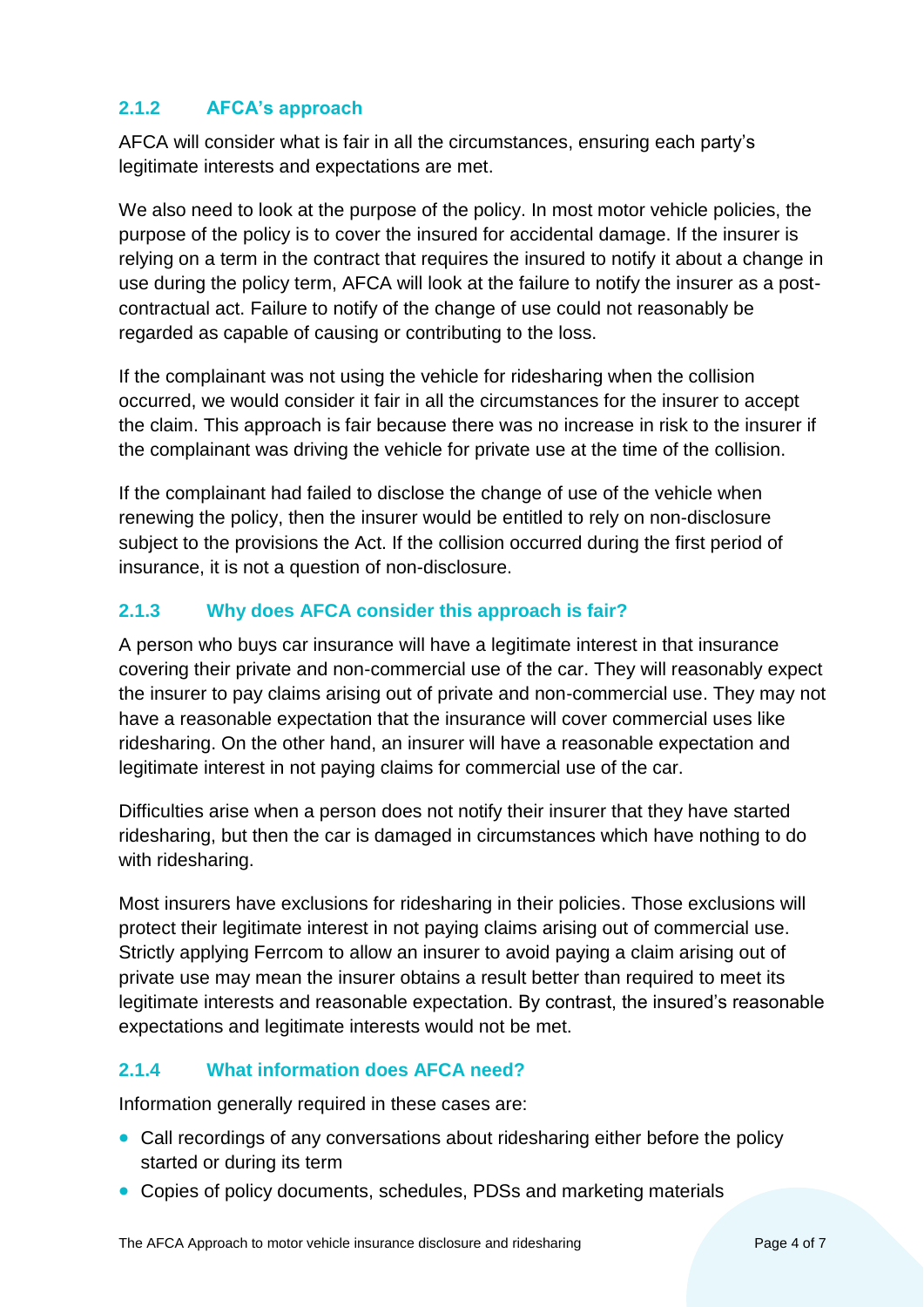## **2.1.2 AFCA's approach**

AFCA will consider what is fair in all the circumstances, ensuring each party's legitimate interests and expectations are met.

We also need to look at the purpose of the policy. In most motor vehicle policies, the purpose of the policy is to cover the insured for accidental damage. If the insurer is relying on a term in the contract that requires the insured to notify it about a change in use during the policy term, AFCA will look at the failure to notify the insurer as a postcontractual act. Failure to notify of the change of use could not reasonably be regarded as capable of causing or contributing to the loss.

If the complainant was not using the vehicle for ridesharing when the collision occurred, we would consider it fair in all the circumstances for the insurer to accept the claim. This approach is fair because there was no increase in risk to the insurer if the complainant was driving the vehicle for private use at the time of the collision.

If the complainant had failed to disclose the change of use of the vehicle when renewing the policy, then the insurer would be entitled to rely on non-disclosure subject to the provisions the Act. If the collision occurred during the first period of insurance, it is not a question of non-disclosure.

# **2.1.3 Why does AFCA consider this approach is fair?**

A person who buys car insurance will have a legitimate interest in that insurance covering their private and non-commercial use of the car. They will reasonably expect the insurer to pay claims arising out of private and non-commercial use. They may not have a reasonable expectation that the insurance will cover commercial uses like ridesharing. On the other hand, an insurer will have a reasonable expectation and legitimate interest in not paying claims for commercial use of the car.

Difficulties arise when a person does not notify their insurer that they have started ridesharing, but then the car is damaged in circumstances which have nothing to do with ridesharing.

Most insurers have exclusions for ridesharing in their policies. Those exclusions will protect their legitimate interest in not paying claims arising out of commercial use. Strictly applying Ferrcom to allow an insurer to avoid paying a claim arising out of private use may mean the insurer obtains a result better than required to meet its legitimate interests and reasonable expectation. By contrast, the insured's reasonable expectations and legitimate interests would not be met.

#### **2.1.4 What information does AFCA need?**

Information generally required in these cases are:

- Call recordings of any conversations about ridesharing either before the policy started or during its term
- Copies of policy documents, schedules, PDSs and marketing materials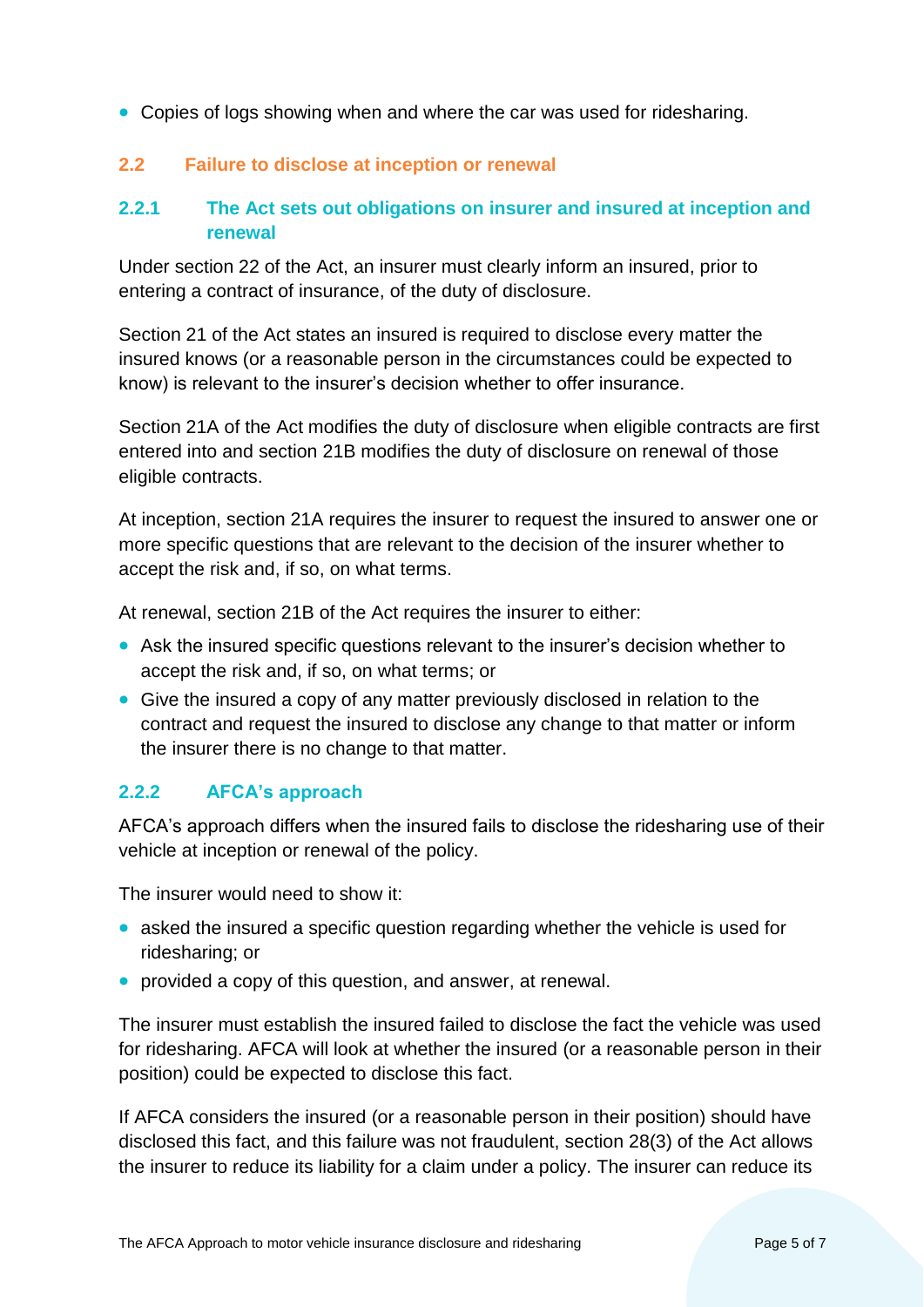• Copies of logs showing when and where the car was used for ridesharing.

# <span id="page-4-0"></span>**2.2 Failure to disclose at inception or renewal**

# **2.2.1 The Act sets out obligations on insurer and insured at inception and renewal**

Under section 22 of the Act, an insurer must clearly inform an insured, prior to entering a contract of insurance, of the duty of disclosure.

Section 21 of the Act states an insured is required to disclose every matter the insured knows (or a reasonable person in the circumstances could be expected to know) is relevant to the insurer's decision whether to offer insurance.

Section 21A of the Act modifies the duty of disclosure when eligible contracts are first entered into and section 21B modifies the duty of disclosure on renewal of those eligible contracts.

At inception, section 21A requires the insurer to request the insured to answer one or more specific questions that are relevant to the decision of the insurer whether to accept the risk and, if so, on what terms.

At renewal, section 21B of the Act requires the insurer to either:

- Ask the insured specific questions relevant to the insurer's decision whether to accept the risk and, if so, on what terms; or
- Give the insured a copy of any matter previously disclosed in relation to the contract and request the insured to disclose any change to that matter or inform the insurer there is no change to that matter.

#### **2.2.2 AFCA's approach**

AFCA's approach differs when the insured fails to disclose the ridesharing use of their vehicle at inception or renewal of the policy.

The insurer would need to show it:

- asked the insured a specific question regarding whether the vehicle is used for ridesharing; or
- provided a copy of this question, and answer, at renewal.

The insurer must establish the insured failed to disclose the fact the vehicle was used for ridesharing. AFCA will look at whether the insured (or a reasonable person in their position) could be expected to disclose this fact.

If AFCA considers the insured (or a reasonable person in their position) should have disclosed this fact, and this failure was not fraudulent, section 28(3) of the Act allows the insurer to reduce its liability for a claim under a policy. The insurer can reduce its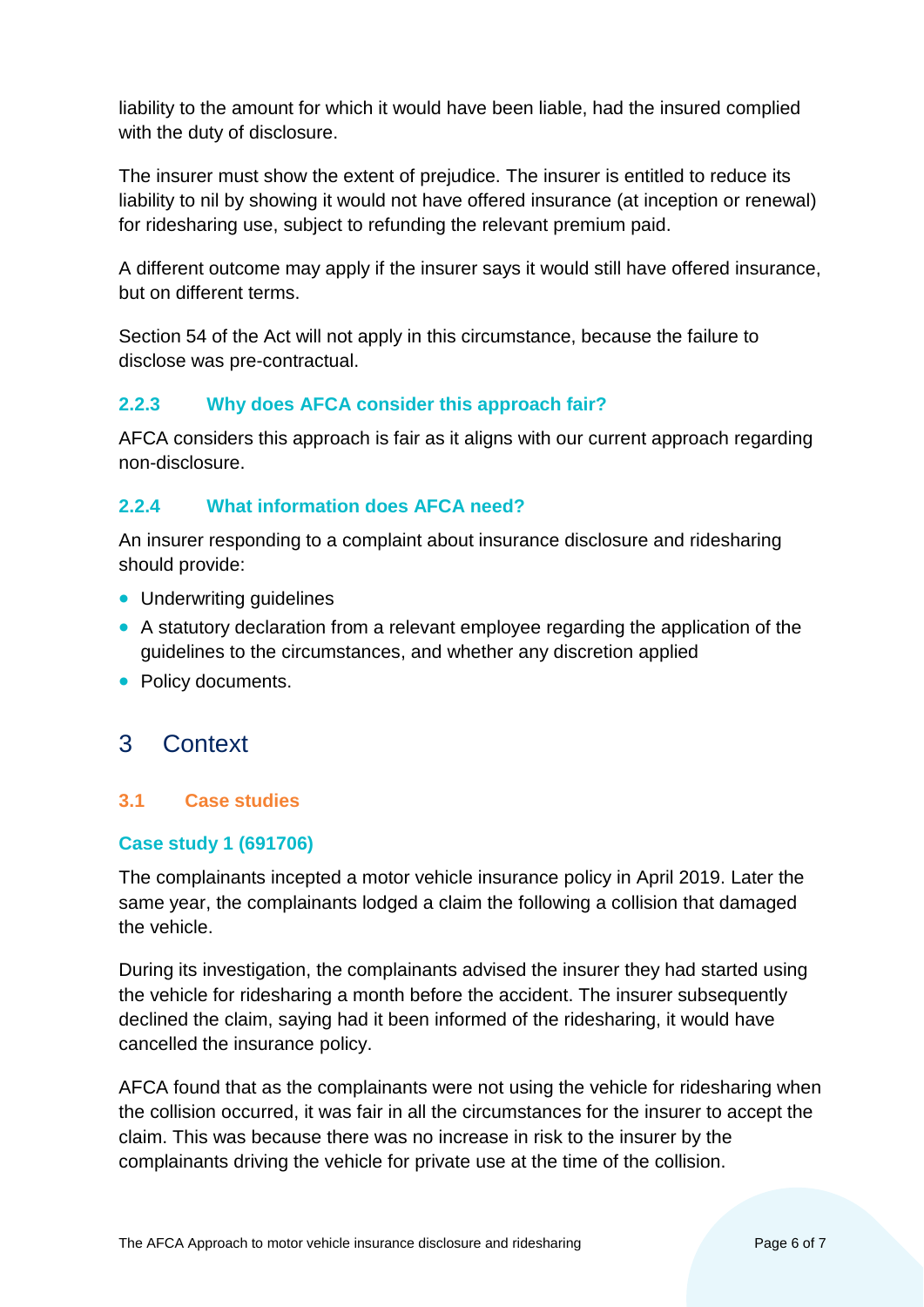liability to the amount for which it would have been liable, had the insured complied with the duty of disclosure.

The insurer must show the extent of prejudice. The insurer is entitled to reduce its liability to nil by showing it would not have offered insurance (at inception or renewal) for ridesharing use, subject to refunding the relevant premium paid.

A different outcome may apply if the insurer says it would still have offered insurance, but on different terms.

Section 54 of the Act will not apply in this circumstance, because the failure to disclose was pre-contractual.

# **2.2.3 Why does AFCA consider this approach fair?**

AFCA considers this approach is fair as it aligns with our current approach regarding non-disclosure.

# **2.2.4 What information does AFCA need?**

An insurer responding to a complaint about insurance disclosure and ridesharing should provide:

- Underwriting guidelines
- A statutory declaration from a relevant employee regarding the application of the guidelines to the circumstances, and whether any discretion applied
- Policy documents.

# <span id="page-5-0"></span>3 Context

#### <span id="page-5-1"></span>**3.1 Case studies**

#### **Case study 1 (691706)**

The complainants incepted a motor vehicle insurance policy in April 2019. Later the same year, the complainants lodged a claim the following a collision that damaged the vehicle.

During its investigation, the complainants advised the insurer they had started using the vehicle for ridesharing a month before the accident. The insurer subsequently declined the claim, saying had it been informed of the ridesharing, it would have cancelled the insurance policy.

AFCA found that as the complainants were not using the vehicle for ridesharing when the collision occurred, it was fair in all the circumstances for the insurer to accept the claim. This was because there was no increase in risk to the insurer by the complainants driving the vehicle for private use at the time of the collision.